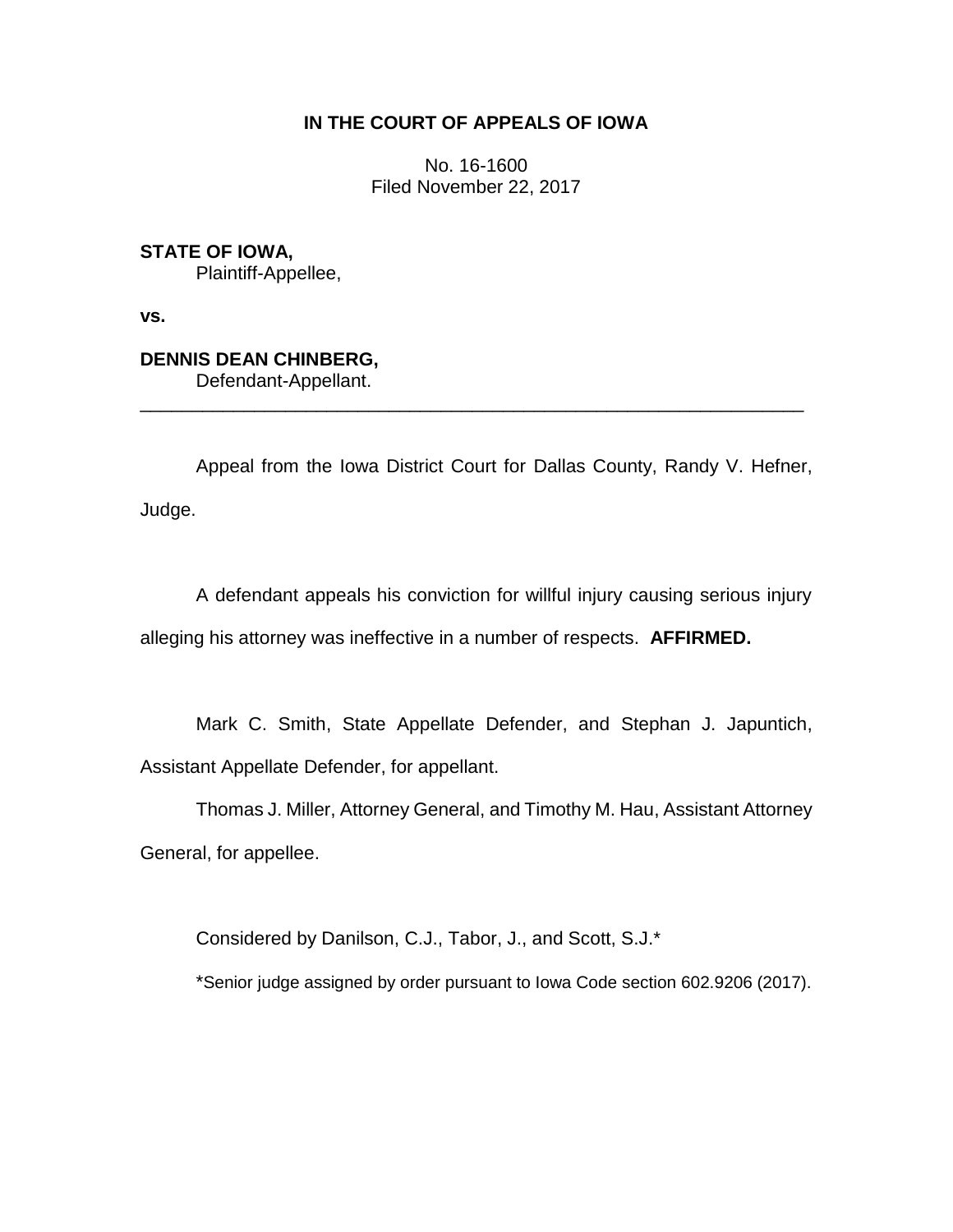# **IN THE COURT OF APPEALS OF IOWA**

No. 16-1600 Filed November 22, 2017

### **STATE OF IOWA,**

Plaintiff-Appellee,

**vs.**

## **DENNIS DEAN CHINBERG,**

Defendant-Appellant.

Appeal from the Iowa District Court for Dallas County, Randy V. Hefner, Judge.

\_\_\_\_\_\_\_\_\_\_\_\_\_\_\_\_\_\_\_\_\_\_\_\_\_\_\_\_\_\_\_\_\_\_\_\_\_\_\_\_\_\_\_\_\_\_\_\_\_\_\_\_\_\_\_\_\_\_\_\_\_\_\_\_

A defendant appeals his conviction for willful injury causing serious injury alleging his attorney was ineffective in a number of respects. **AFFIRMED.**

Mark C. Smith, State Appellate Defender, and Stephan J. Japuntich, Assistant Appellate Defender, for appellant.

Thomas J. Miller, Attorney General, and Timothy M. Hau, Assistant Attorney General, for appellee.

Considered by Danilson, C.J., Tabor, J., and Scott, S.J.\*

\*Senior judge assigned by order pursuant to Iowa Code section 602.9206 (2017).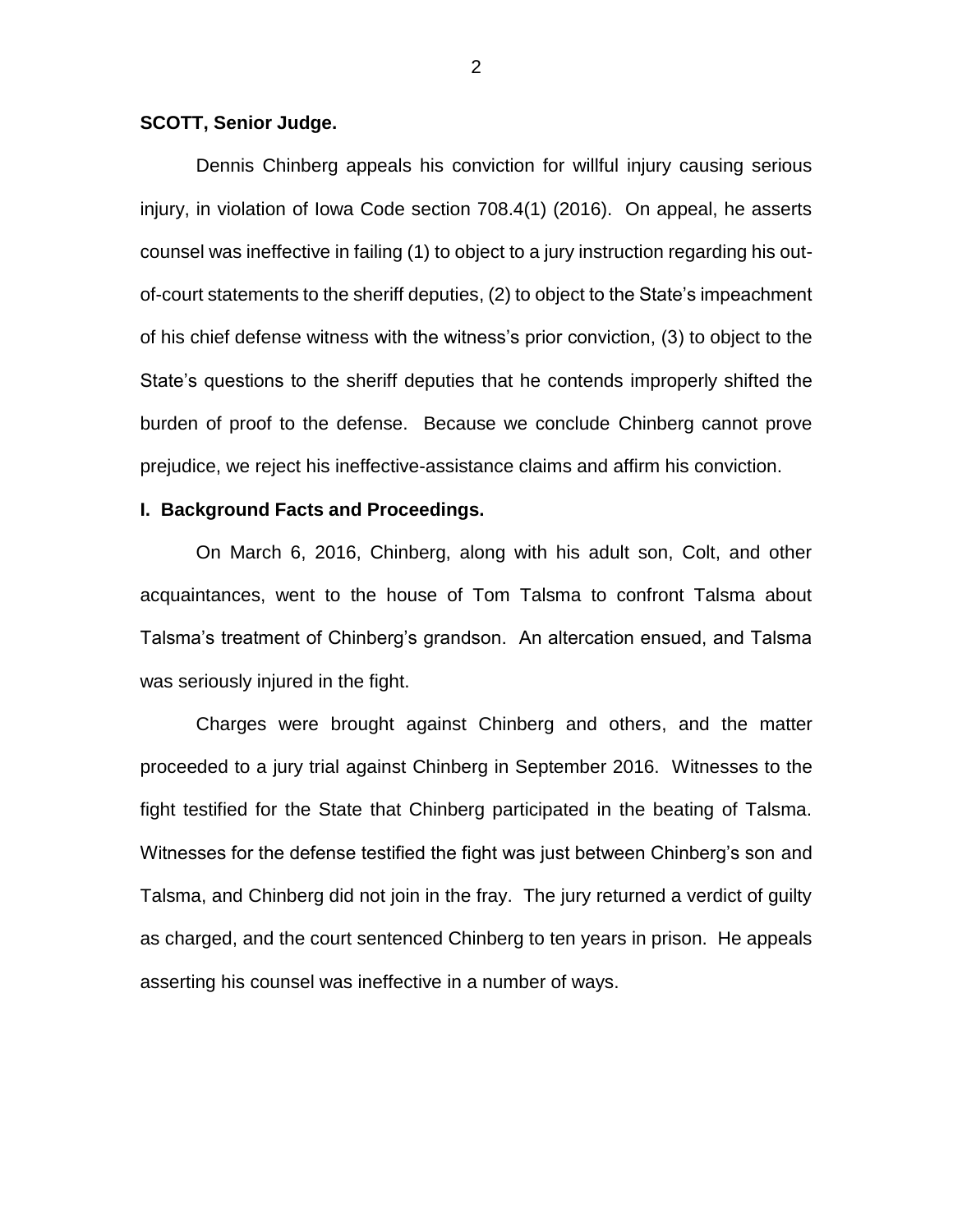#### **SCOTT, Senior Judge.**

Dennis Chinberg appeals his conviction for willful injury causing serious injury, in violation of Iowa Code section 708.4(1) (2016). On appeal, he asserts counsel was ineffective in failing (1) to object to a jury instruction regarding his outof-court statements to the sheriff deputies, (2) to object to the State's impeachment of his chief defense witness with the witness's prior conviction, (3) to object to the State's questions to the sheriff deputies that he contends improperly shifted the burden of proof to the defense. Because we conclude Chinberg cannot prove prejudice, we reject his ineffective-assistance claims and affirm his conviction.

### **I. Background Facts and Proceedings.**

On March 6, 2016, Chinberg, along with his adult son, Colt, and other acquaintances, went to the house of Tom Talsma to confront Talsma about Talsma's treatment of Chinberg's grandson. An altercation ensued, and Talsma was seriously injured in the fight.

Charges were brought against Chinberg and others, and the matter proceeded to a jury trial against Chinberg in September 2016. Witnesses to the fight testified for the State that Chinberg participated in the beating of Talsma. Witnesses for the defense testified the fight was just between Chinberg's son and Talsma, and Chinberg did not join in the fray. The jury returned a verdict of guilty as charged, and the court sentenced Chinberg to ten years in prison. He appeals asserting his counsel was ineffective in a number of ways.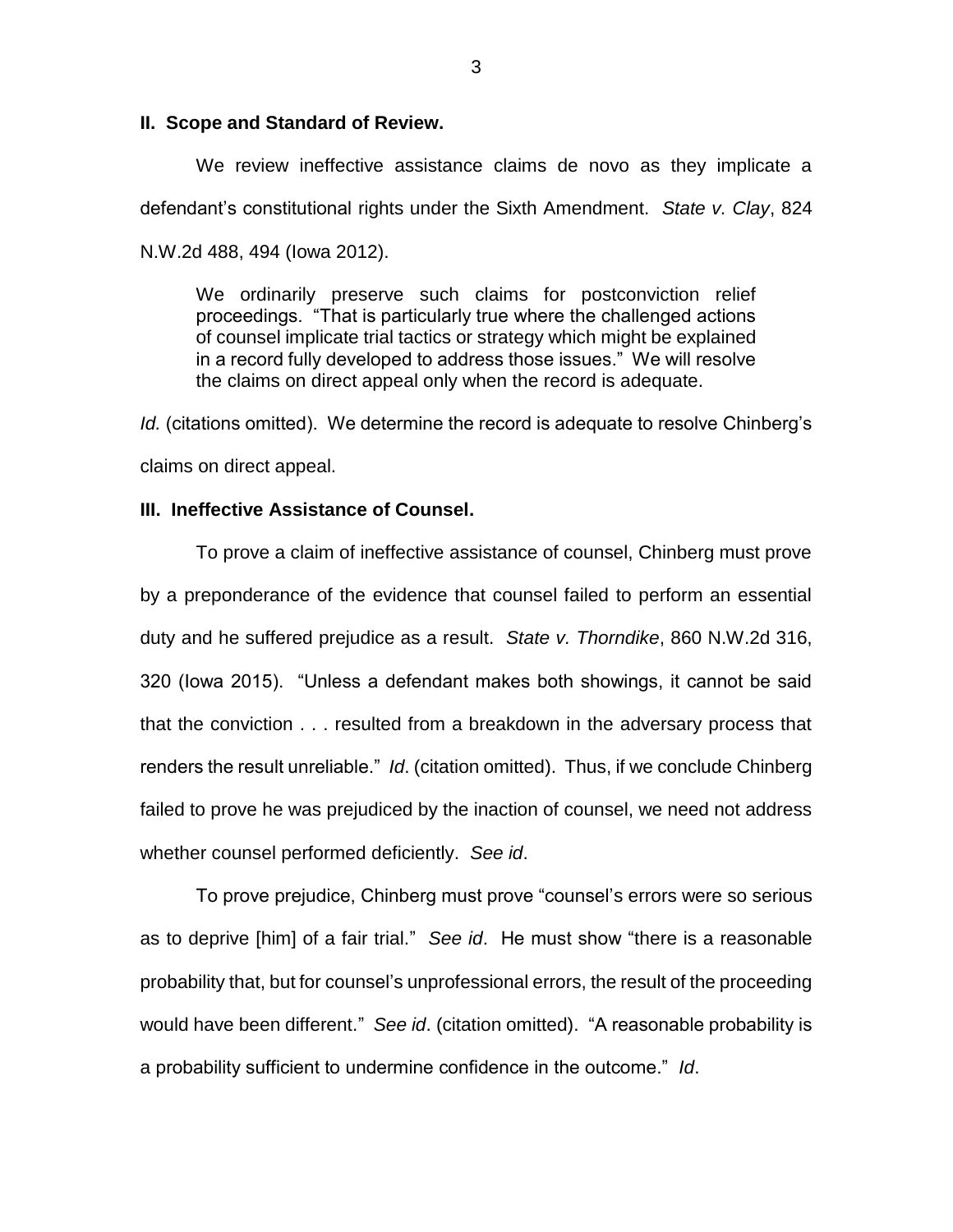#### **II. Scope and Standard of Review.**

We review ineffective assistance claims de novo as they implicate a defendant's constitutional rights under the Sixth Amendment. *State v. Clay*, 824 N.W.2d 488, 494 (Iowa 2012).

We ordinarily preserve such claims for postconviction relief proceedings. "That is particularly true where the challenged actions of counsel implicate trial tactics or strategy which might be explained in a record fully developed to address those issues." We will resolve the claims on direct appeal only when the record is adequate.

*Id.* (citations omitted). We determine the record is adequate to resolve Chinberg's claims on direct appeal.

### **III. Ineffective Assistance of Counsel.**

To prove a claim of ineffective assistance of counsel, Chinberg must prove by a preponderance of the evidence that counsel failed to perform an essential duty and he suffered prejudice as a result. *State v. Thorndike*, 860 N.W.2d 316, 320 (Iowa 2015). "Unless a defendant makes both showings, it cannot be said that the conviction . . . resulted from a breakdown in the adversary process that renders the result unreliable." *Id*. (citation omitted). Thus, if we conclude Chinberg failed to prove he was prejudiced by the inaction of counsel, we need not address whether counsel performed deficiently. *See id*.

To prove prejudice, Chinberg must prove "counsel's errors were so serious as to deprive [him] of a fair trial." *See id*. He must show "there is a reasonable probability that, but for counsel's unprofessional errors, the result of the proceeding would have been different." *See id*. (citation omitted). "A reasonable probability is a probability sufficient to undermine confidence in the outcome." *Id*.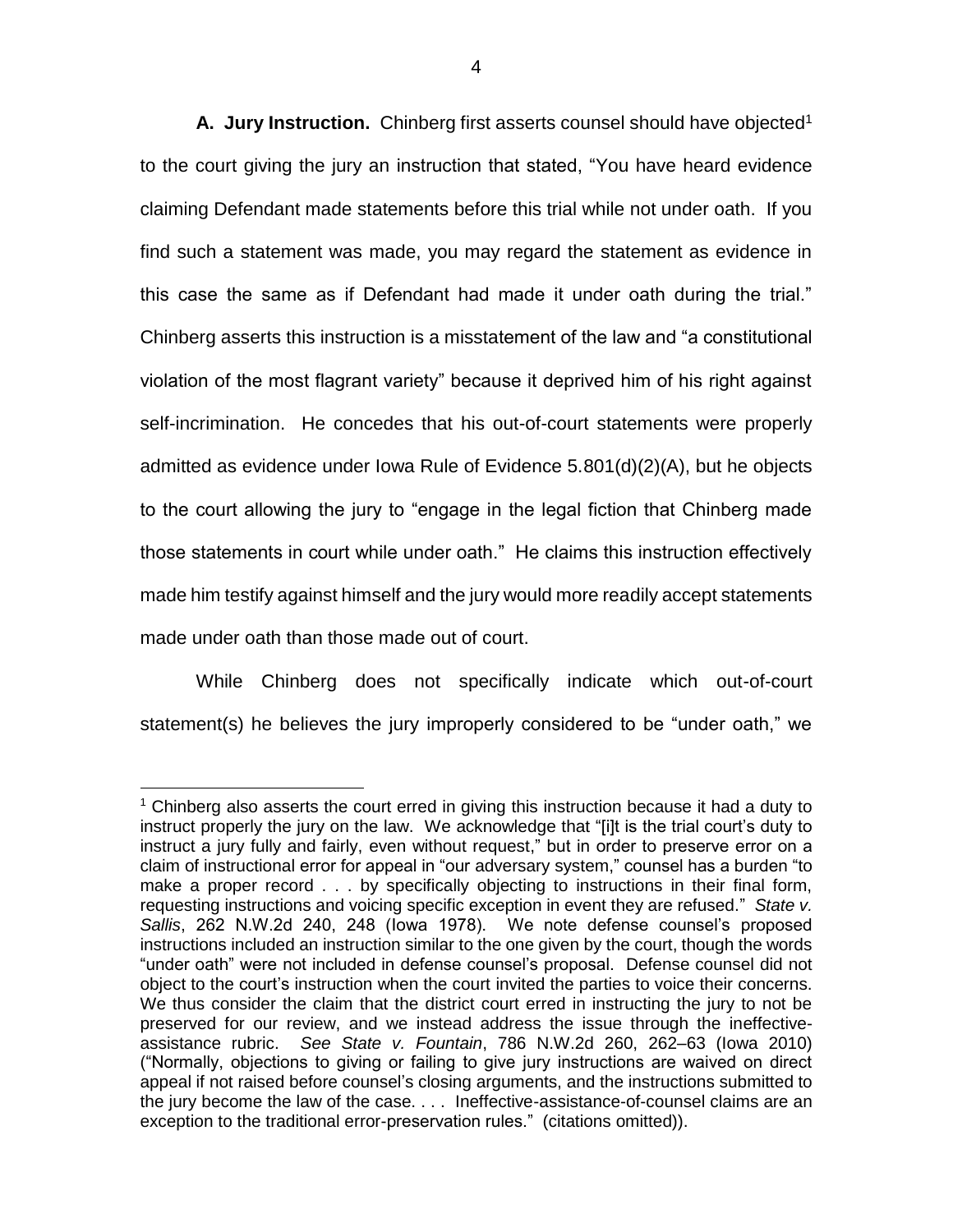**A. Jury Instruction.** Chinberg first asserts counsel should have objected<sup>1</sup> to the court giving the jury an instruction that stated, "You have heard evidence claiming Defendant made statements before this trial while not under oath. If you find such a statement was made, you may regard the statement as evidence in this case the same as if Defendant had made it under oath during the trial." Chinberg asserts this instruction is a misstatement of the law and "a constitutional violation of the most flagrant variety" because it deprived him of his right against self-incrimination. He concedes that his out-of-court statements were properly admitted as evidence under Iowa Rule of Evidence 5.801(d)(2)(A), but he objects to the court allowing the jury to "engage in the legal fiction that Chinberg made those statements in court while under oath." He claims this instruction effectively made him testify against himself and the jury would more readily accept statements made under oath than those made out of court.

While Chinberg does not specifically indicate which out-of-court statement(s) he believes the jury improperly considered to be "under oath," we

 $\overline{a}$ 

<sup>1</sup> Chinberg also asserts the court erred in giving this instruction because it had a duty to instruct properly the jury on the law. We acknowledge that "[i]t is the trial court's duty to instruct a jury fully and fairly, even without request," but in order to preserve error on a claim of instructional error for appeal in "our adversary system," counsel has a burden "to make a proper record . . . by specifically objecting to instructions in their final form, requesting instructions and voicing specific exception in event they are refused." *State v. Sallis*, 262 N.W.2d 240, 248 (Iowa 1978). We note defense counsel's proposed instructions included an instruction similar to the one given by the court, though the words "under oath" were not included in defense counsel's proposal. Defense counsel did not object to the court's instruction when the court invited the parties to voice their concerns. We thus consider the claim that the district court erred in instructing the jury to not be preserved for our review, and we instead address the issue through the ineffectiveassistance rubric. *See State v. Fountain*, 786 N.W.2d 260, 262–63 (Iowa 2010) ("Normally, objections to giving or failing to give jury instructions are waived on direct appeal if not raised before counsel's closing arguments, and the instructions submitted to the jury become the law of the case. . . . Ineffective-assistance-of-counsel claims are an exception to the traditional error-preservation rules." (citations omitted)).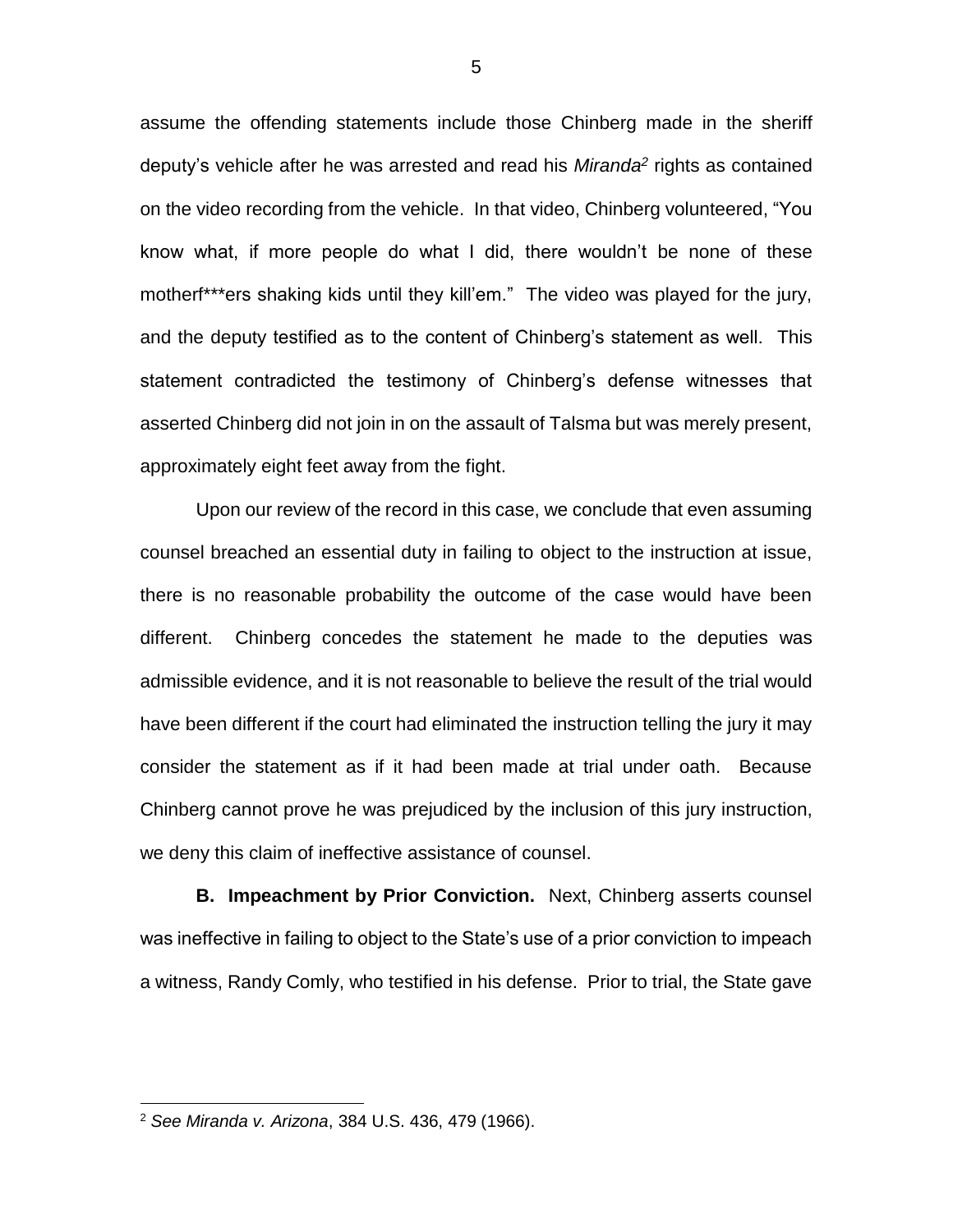assume the offending statements include those Chinberg made in the sheriff deputy's vehicle after he was arrested and read his *Miranda<sup>2</sup>* rights as contained on the video recording from the vehicle. In that video, Chinberg volunteered, "You know what, if more people do what I did, there wouldn't be none of these motherf\*\*\*ers shaking kids until they kill'em." The video was played for the jury, and the deputy testified as to the content of Chinberg's statement as well. This statement contradicted the testimony of Chinberg's defense witnesses that asserted Chinberg did not join in on the assault of Talsma but was merely present, approximately eight feet away from the fight.

Upon our review of the record in this case, we conclude that even assuming counsel breached an essential duty in failing to object to the instruction at issue, there is no reasonable probability the outcome of the case would have been different. Chinberg concedes the statement he made to the deputies was admissible evidence, and it is not reasonable to believe the result of the trial would have been different if the court had eliminated the instruction telling the jury it may consider the statement as if it had been made at trial under oath. Because Chinberg cannot prove he was prejudiced by the inclusion of this jury instruction, we deny this claim of ineffective assistance of counsel.

**B. Impeachment by Prior Conviction.** Next, Chinberg asserts counsel was ineffective in failing to object to the State's use of a prior conviction to impeach a witness, Randy Comly, who testified in his defense. Prior to trial, the State gave

 $\overline{a}$ 

<sup>2</sup> *See Miranda v. Arizona*, 384 U.S. 436, 479 (1966).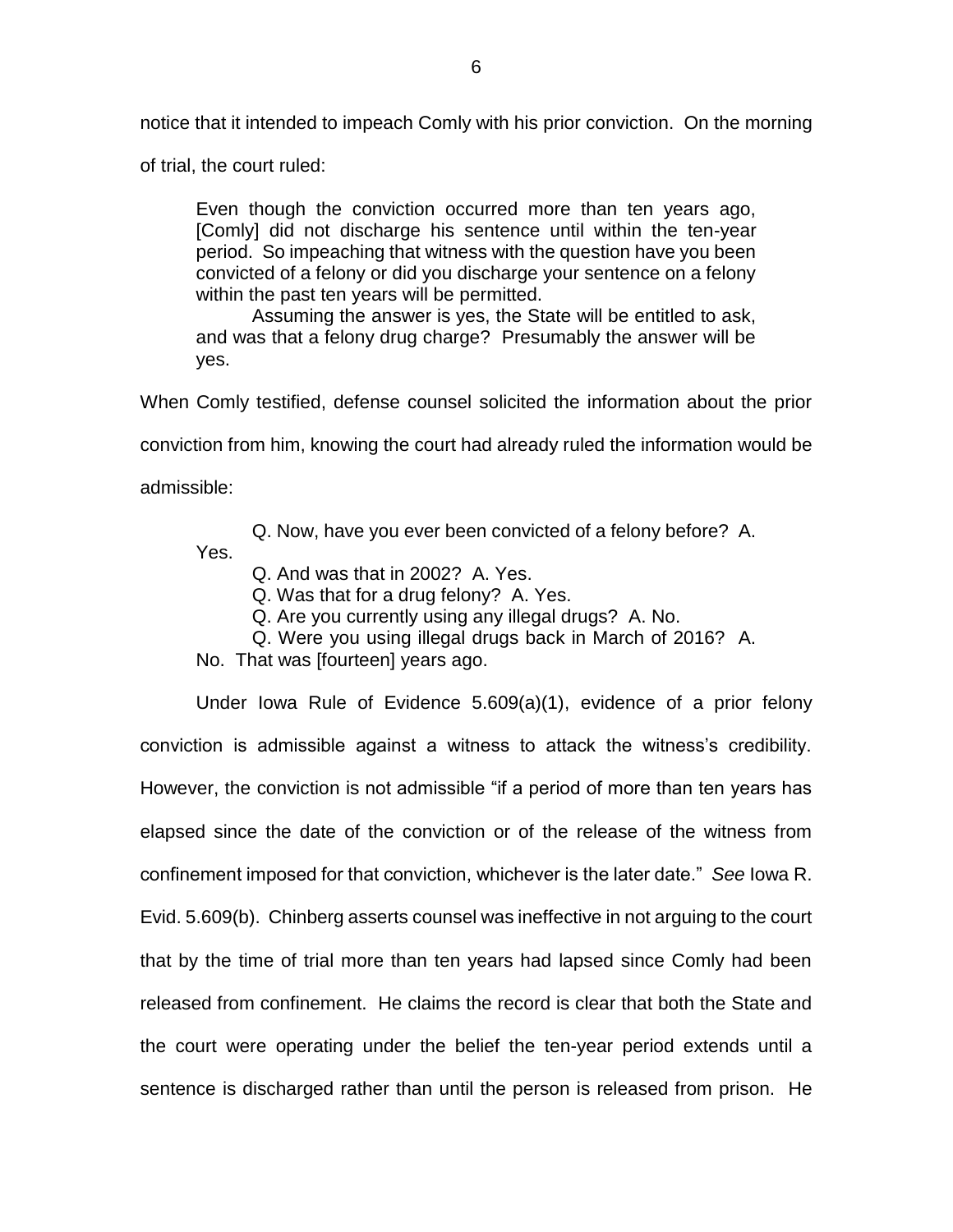notice that it intended to impeach Comly with his prior conviction. On the morning

of trial, the court ruled:

Even though the conviction occurred more than ten years ago, [Comly] did not discharge his sentence until within the ten-year period. So impeaching that witness with the question have you been convicted of a felony or did you discharge your sentence on a felony within the past ten years will be permitted.

Assuming the answer is yes, the State will be entitled to ask, and was that a felony drug charge? Presumably the answer will be yes.

When Comly testified, defense counsel solicited the information about the prior

conviction from him, knowing the court had already ruled the information would be

admissible:

Q. Now, have you ever been convicted of a felony before? A.

Yes.

Q. And was that in 2002? A. Yes.

Q. Was that for a drug felony? A. Yes.

Q. Are you currently using any illegal drugs? A. No.

Q. Were you using illegal drugs back in March of 2016? A.

No. That was [fourteen] years ago.

Under Iowa Rule of Evidence 5.609(a)(1), evidence of a prior felony conviction is admissible against a witness to attack the witness's credibility. However, the conviction is not admissible "if a period of more than ten years has elapsed since the date of the conviction or of the release of the witness from confinement imposed for that conviction, whichever is the later date." *See* Iowa R. Evid. 5.609(b). Chinberg asserts counsel was ineffective in not arguing to the court that by the time of trial more than ten years had lapsed since Comly had been released from confinement. He claims the record is clear that both the State and the court were operating under the belief the ten-year period extends until a sentence is discharged rather than until the person is released from prison. He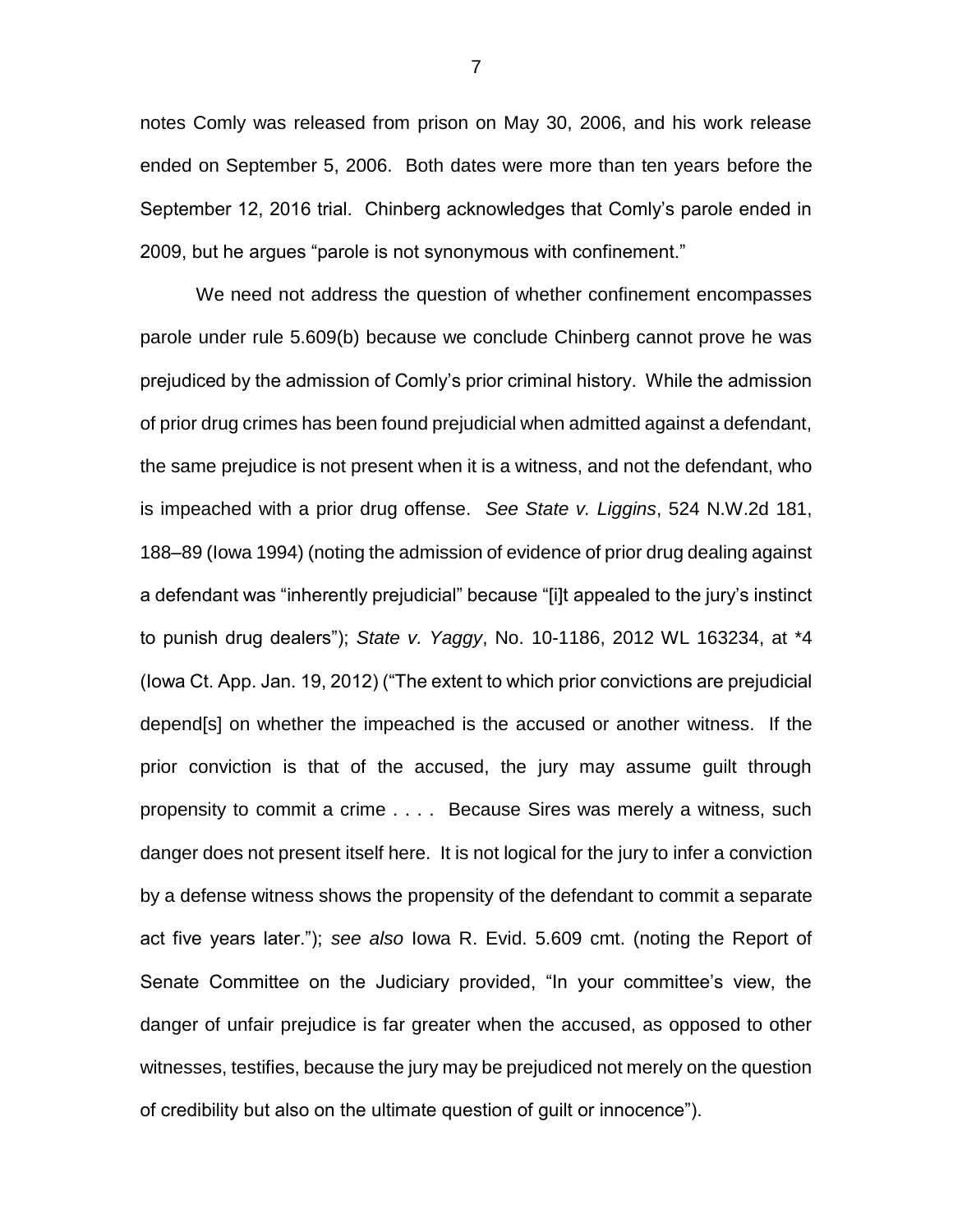notes Comly was released from prison on May 30, 2006, and his work release ended on September 5, 2006. Both dates were more than ten years before the September 12, 2016 trial. Chinberg acknowledges that Comly's parole ended in 2009, but he argues "parole is not synonymous with confinement."

We need not address the question of whether confinement encompasses parole under rule 5.609(b) because we conclude Chinberg cannot prove he was prejudiced by the admission of Comly's prior criminal history. While the admission of prior drug crimes has been found prejudicial when admitted against a defendant, the same prejudice is not present when it is a witness, and not the defendant, who is impeached with a prior drug offense. *See State v. Liggins*, 524 N.W.2d 181, 188–89 (Iowa 1994) (noting the admission of evidence of prior drug dealing against a defendant was "inherently prejudicial" because "[i]t appealed to the jury's instinct to punish drug dealers"); *State v. Yaggy*, No. 10-1186, 2012 WL 163234, at \*4 (Iowa Ct. App. Jan. 19, 2012) ("The extent to which prior convictions are prejudicial depend[s] on whether the impeached is the accused or another witness. If the prior conviction is that of the accused, the jury may assume guilt through propensity to commit a crime . . . . Because Sires was merely a witness, such danger does not present itself here. It is not logical for the jury to infer a conviction by a defense witness shows the propensity of the defendant to commit a separate act five years later."); *see also* Iowa R. Evid. 5.609 cmt. (noting the Report of Senate Committee on the Judiciary provided, "In your committee's view, the danger of unfair prejudice is far greater when the accused, as opposed to other witnesses, testifies, because the jury may be prejudiced not merely on the question of credibility but also on the ultimate question of guilt or innocence").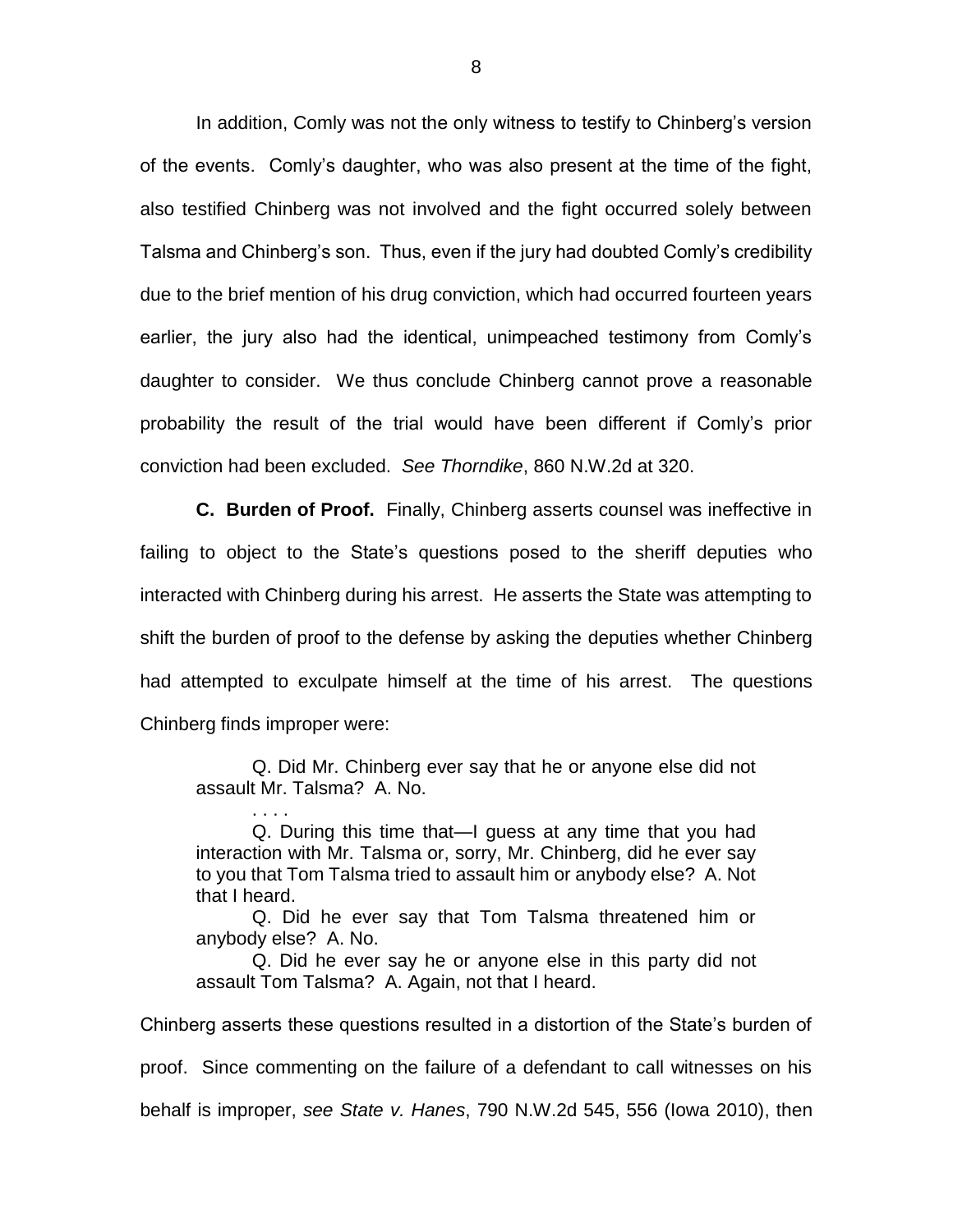In addition, Comly was not the only witness to testify to Chinberg's version of the events. Comly's daughter, who was also present at the time of the fight, also testified Chinberg was not involved and the fight occurred solely between Talsma and Chinberg's son. Thus, even if the jury had doubted Comly's credibility due to the brief mention of his drug conviction, which had occurred fourteen years earlier, the jury also had the identical, unimpeached testimony from Comly's daughter to consider. We thus conclude Chinberg cannot prove a reasonable probability the result of the trial would have been different if Comly's prior conviction had been excluded. *See Thorndike*, 860 N.W.2d at 320.

**C. Burden of Proof.** Finally, Chinberg asserts counsel was ineffective in failing to object to the State's questions posed to the sheriff deputies who interacted with Chinberg during his arrest. He asserts the State was attempting to shift the burden of proof to the defense by asking the deputies whether Chinberg had attempted to exculpate himself at the time of his arrest. The questions Chinberg finds improper were:

Q. Did Mr. Chinberg ever say that he or anyone else did not assault Mr. Talsma? A. No.

. . . .

Q. During this time that—I guess at any time that you had interaction with Mr. Talsma or, sorry, Mr. Chinberg, did he ever say to you that Tom Talsma tried to assault him or anybody else? A. Not that I heard.

Q. Did he ever say that Tom Talsma threatened him or anybody else? A. No.

Q. Did he ever say he or anyone else in this party did not assault Tom Talsma? A. Again, not that I heard.

Chinberg asserts these questions resulted in a distortion of the State's burden of proof. Since commenting on the failure of a defendant to call witnesses on his behalf is improper, *see State v. Hanes*, 790 N.W.2d 545, 556 (Iowa 2010), then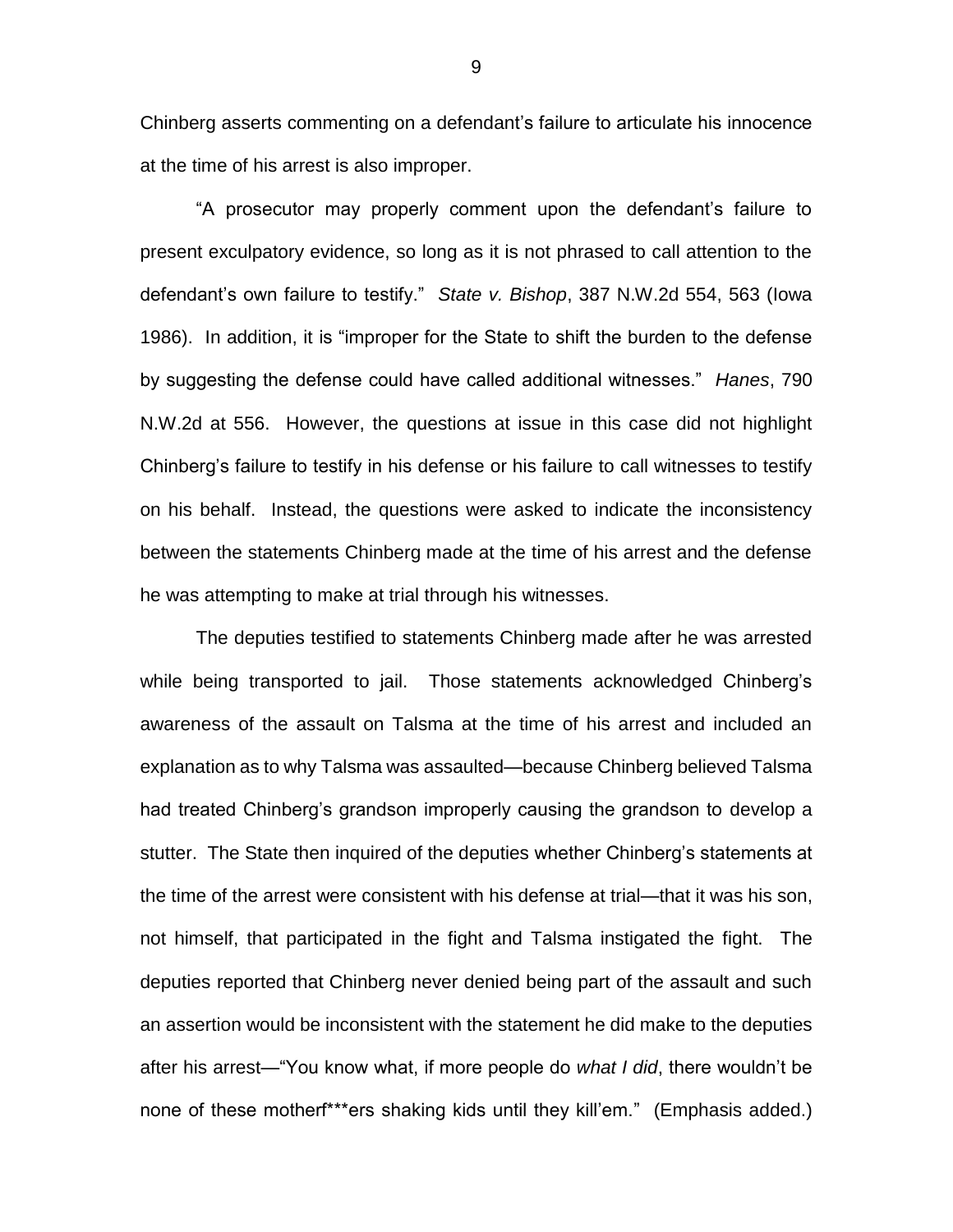Chinberg asserts commenting on a defendant's failure to articulate his innocence at the time of his arrest is also improper.

"A prosecutor may properly comment upon the defendant's failure to present exculpatory evidence, so long as it is not phrased to call attention to the defendant's own failure to testify." *State v. Bishop*, 387 N.W.2d 554, 563 (Iowa 1986). In addition, it is "improper for the State to shift the burden to the defense by suggesting the defense could have called additional witnesses." *Hanes*, 790 N.W.2d at 556. However, the questions at issue in this case did not highlight Chinberg's failure to testify in his defense or his failure to call witnesses to testify on his behalf. Instead, the questions were asked to indicate the inconsistency between the statements Chinberg made at the time of his arrest and the defense he was attempting to make at trial through his witnesses.

The deputies testified to statements Chinberg made after he was arrested while being transported to jail. Those statements acknowledged Chinberg's awareness of the assault on Talsma at the time of his arrest and included an explanation as to why Talsma was assaulted—because Chinberg believed Talsma had treated Chinberg's grandson improperly causing the grandson to develop a stutter. The State then inquired of the deputies whether Chinberg's statements at the time of the arrest were consistent with his defense at trial—that it was his son, not himself, that participated in the fight and Talsma instigated the fight. The deputies reported that Chinberg never denied being part of the assault and such an assertion would be inconsistent with the statement he did make to the deputies after his arrest—"You know what, if more people do *what I did*, there wouldn't be none of these motherf\*\*\*ers shaking kids until they kill'em." (Emphasis added.)

9